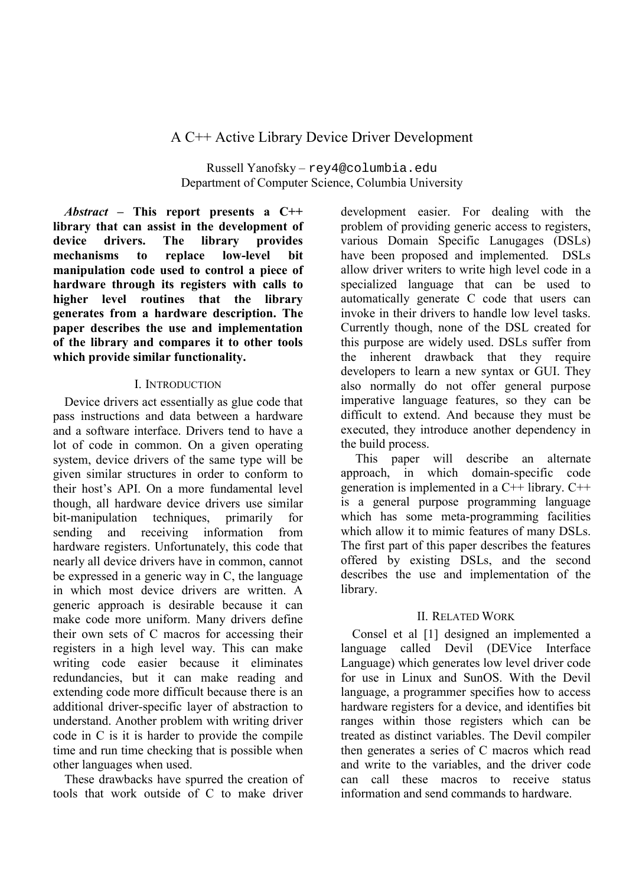# A C++ Active Library Device Driver Development

Russell Yanofsky-rey4@columbia.edu Department of Computer Science, Columbia University

Abstract – This report presents a  $C++$ library that can assist in the development of device drivers. The library provides mechanisms replace low-level  $\mathbf{t}$ **bit** manipulation code used to control a piece of hardware through its registers with calls to higher level routines that the library generates from a hardware description. The paper describes the use and implementation of the library and compares it to other tools which provide similar functionality.

#### **I. INTRODUCTION**

Device drivers act essentially as glue code that pass instructions and data between a hardware and a software interface. Drivers tend to have a lot of code in common. On a given operating system, device drivers of the same type will be given similar structures in order to conform to their host's API. On a more fundamental level though, all hardware device drivers use similar bit-manipulation techniques, primarily for sending and receiving information from hardware registers. Unfortunately, this code that nearly all device drivers have in common, cannot be expressed in a generic way in C, the language in which most device drivers are written. A generic approach is desirable because it can make code more uniform. Many drivers define their own sets of C macros for accessing their registers in a high level way. This can make writing code easier because it eliminates redundancies, but it can make reading and extending code more difficult because there is an additional driver-specific layer of abstraction to understand. Another problem with writing driver code in C is it is harder to provide the compile time and run time checking that is possible when other languages when used.

These drawbacks have spurred the creation of tools that work outside of C to make driver

development easier. For dealing with the problem of providing generic access to registers. various Domain Specific Lanugages (DSLs) have been proposed and implemented. DSLs allow driver writers to write high level code in a specialized language that can be used to automatically generate C code that users can invoke in their drivers to handle low level tasks Currently though, none of the DSL created for this purpose are widely used. DSLs suffer from the inherent drawback that they require developers to learn a new syntax or GUI. They also normally do not offer general purpose imperative language features, so they can be difficult to extend. And because they must be executed, they introduce another dependency in the build process.

This paper will describe an alternate approach, in which domain-specific code generation is implemented in a  $C++$  library.  $C++$ is a general purpose programming language which has some meta-programming facilities which allow it to mimic features of many DSLs. The first part of this paper describes the features offered by existing DSLs, and the second describes the use and implementation of the library.

### **II RELATED WORK**

Consel et al [1] designed an implemented a language called Devil (DEVice Interface) Language) which generates low level driver code for use in Linux and SunOS. With the Devil language, a programmer specifies how to access hardware registers for a device, and identifies bit ranges within those registers which can be treated as distinct variables. The Devil compiler then generates a series of C macros which read and write to the variables, and the driver code can call these macros to receive status information and send commands to hardware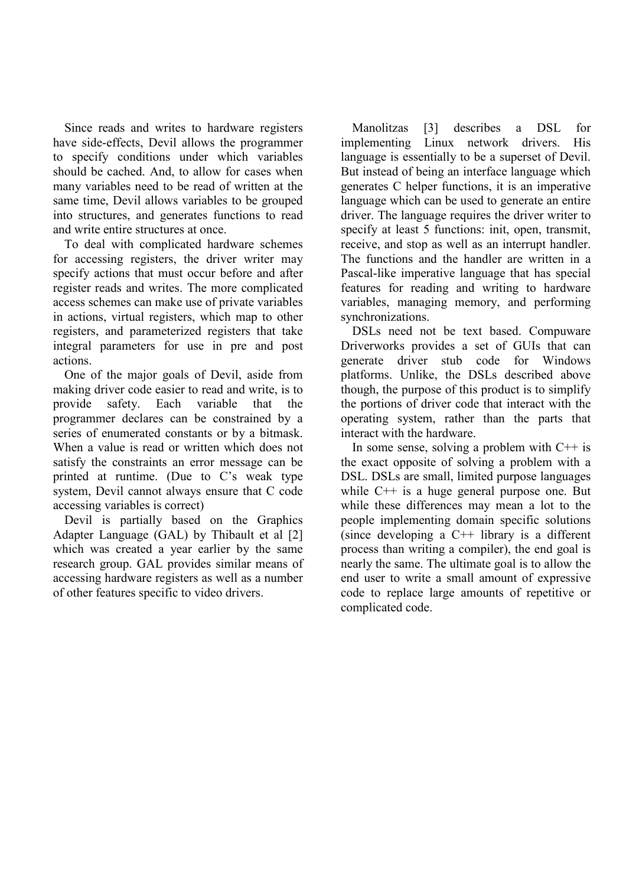Since reads and writes to hardware registers have side-effects, Devil allows the programmer to specify conditions under which variables should be cached. And, to allow for cases when many variables need to be read of written at the same time, Devil allows variables to be grouped into structures, and generates functions to read and write entire structures at once

To deal with complicated hardware schemes for accessing registers, the driver writer may specify actions that must occur before and after register reads and writes. The more complicated access schemes can make use of private variables in actions, virtual registers, which map to other registers, and parameterized registers that take integral parameters for use in pre and post actions.

One of the major goals of Devil, aside from making driver code easier to read and write, is to provide safety. Each variable that the programmer declares can be constrained by a series of enumerated constants or by a bitmask. When a value is read or written which does not satisfy the constraints an error message can be printed at runtime. (Due to C's weak type system, Devil cannot always ensure that C code accessing variables is correct)

Devil is partially based on the Graphics Adapter Language (GAL) by Thibault et al [2] which was created a year earlier by the same research group. GAL provides similar means of accessing hardware registers as well as a number of other features specific to video drivers.

Manolitzas  $\lceil 3 \rceil$ describes **DSL** for a implementing Linux network drivers. **His** language is essentially to be a superset of Devil. But instead of being an interface language which generates C helper functions, it is an imperative language which can be used to generate an entire driver. The language requires the driver writer to specify at least 5 functions: init. open. transmit. receive, and stop as well as an interrupt handler. The functions and the handler are written in a Pascal-like imperative language that has special features for reading and writing to hardware variables, managing memory, and performing synchronizations.

DSLs need not be text based. Compuware Driverworks provides a set of GUIs that can generate driver stub code for Windows platforms. Unlike, the DSLs described above though, the purpose of this product is to simplify the portions of driver code that interact with the operating system, rather than the parts that interact with the hardware.

In some sense, solving a problem with  $C++$  is the exact opposite of solving a problem with a DSL. DSLs are small, limited purpose languages while  $C++$  is a huge general purpose one. But while these differences may mean a lot to the people implementing domain specific solutions (since developing a  $C++$  library is a different process than writing a compiler), the end goal is nearly the same. The ultimate goal is to allow the end user to write a small amount of expressive code to replace large amounts of repetitive or complicated code.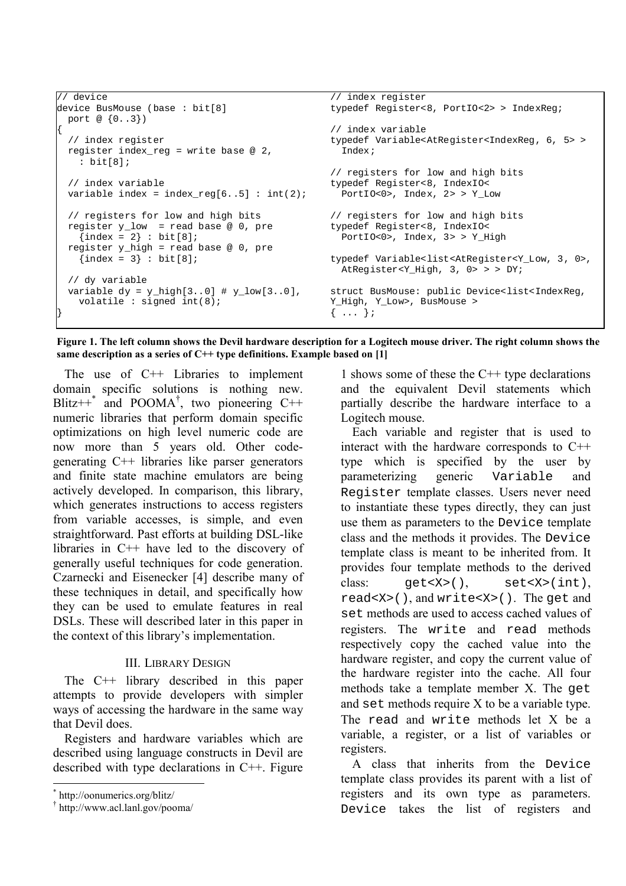```
// device
                                                   // index register
device BusMouse (base : bit[8]
                                                   typedef Register<8, PortIO<2> > IndexReg;
 port @ {0..3})
                                                   // index variable
                                                   typedef Variable<AtRegister<IndexReg, 6, 5> >
 // index register
 register index reg = write base @ 2,
                                                     Index;
    : bit[8];// registers for low and high bits
                                                   typedef Register<8, IndexIO<<br>PortIO<0>, Index, 2> > Y_Low
 // index variable
 variable index = index req[6..5] : int(2);
 // registers for low and high bits
                                                   // registers for low and high bits
 register y_low = read base @ 0, pretypedef Register<8, IndexIO<
    \{index = 2\}: bit[8];
                                                     PortIO<0>, Index, 3> > Y_High
 register y_{n}high = read base @ 0, pre
    \{index = 3\} : bit [8];
                                                   typedef Variable<list<AtRegister<Y_Low, 3, 0>,
                                                     AtRegister<Y_High, 3, 0> > > DY;
 // dy variable
 variable dy = y_{high}[3..0] # y_{low}[3..0],
                                                   struct BusMouse: public Device<list<IndexReg,
   volatile : signed int(8);
                                                   Y_High, Y_Low>, BusMouse >
                                                   \{ \ldots \}
```
Figure 1. The left column shows the Devil hardware description for a Logitech mouse driver. The right column shows the same description as a series of  $C++$  type definitions. Example based on [1]

The use of  $C++$  Libraries to implement domain specific solutions is nothing new. Blitz++\* and POOMA<sup>†</sup>, two pioneering C++ numeric libraries that perform domain specific optimizations on high level numeric code are now more than 5 years old. Other codegenerating C++ libraries like parser generators and finite state machine emulators are being actively developed. In comparison, this library, which generates instructions to access registers from variable accesses, is simple, and even straightforward. Past efforts at building DSL-like libraries in  $C++$  have led to the discovery of generally useful techniques for code generation. Czarnecki and Eisenecker [4] describe many of these techniques in detail, and specifically how they can be used to emulate features in real DSLs. These will described later in this paper in the context of this library's implementation.

### **III LIBRARY DESIGN**

The  $C++$  library described in this paper attempts to provide developers with simpler ways of accessing the hardware in the same way that Devil does.

Registers and hardware variables which are described using language constructs in Devil are described with type declarations in  $C++$ . Figure

1 shows some of these the  $C++$  type declarations and the equivalent Devil statements which partially describe the hardware interface to a Logitech mouse.

Each variable and register that is used to interact with the hardware corresponds to C++ type which is specified by the user by parameterizing generic Variable and Register template classes. Users never need to instantiate these types directly, they can just use them as parameters to the Device template class and the methods it provides. The Device template class is meant to be inherited from. It provides four template methods to the derived class:  $qet < X > ()$ ,  $set < X > (int),$ read<X>(), and write<X>(). The get and set methods are used to access cached values of registers. The write and read methods respectively copy the cached value into the hardware register, and copy the current value of the hardware register into the cache. All four methods take a template member X. The get and set methods require X to be a variable type. The read and write methods let X be a variable, a register, or a list of variables or registers.

A class that inherits from the Device template class provides its parent with a list of registers and its own type as parameters. Device takes the list of registers and

http://oonumerics.org/blitz/

http://www.acl.lanl.gov/pooma/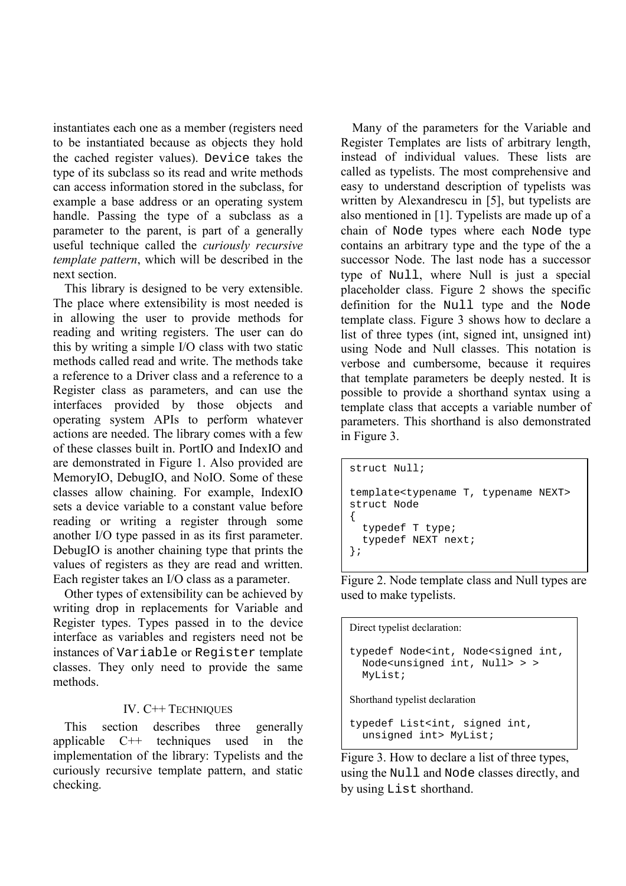instantiates each one as a member (registers need to be instantiated because as objects they hold the cached register values). Device takes the type of its subclass so its read and write methods can access information stored in the subclass, for example a base address or an operating system handle. Passing the type of a subclass as a parameter to the parent, is part of a generally useful technique called the *curiously recursive* template pattern, which will be described in the next section.

This library is designed to be very extensible. The place where extensibility is most needed is in allowing the user to provide methods for reading and writing registers. The user can do this by writing a simple I/O class with two static methods called read and write. The methods take a reference to a Driver class and a reference to a Register class as parameters, and can use the interfaces provided by those objects and operating system APIs to perform whatever actions are needed. The library comes with a few of these classes built in. PortIO and IndexIO and are demonstrated in Figure 1. Also provided are MemoryIO, DebugIO, and NoIO. Some of these classes allow chaining. For example, IndexIO sets a device variable to a constant value before reading or writing a register through some another I/O type passed in as its first parameter. DebugIO is another chaining type that prints the values of registers as they are read and written. Each register takes an I/O class as a parameter.

Other types of extensibility can be achieved by writing drop in replacements for Variable and Register types. Types passed in to the device interface as variables and registers need not be instances of Variable or Register template classes. They only need to provide the same methods

### IV. C++ TECHNIQUES

**This** section describes three generally applicable  $C++$ techniques used in the implementation of the library: Typelists and the curiously recursive template pattern, and static checking.

Many of the parameters for the Variable and Register Templates are lists of arbitrary length, instead of individual values. These lists are called as typelists. The most comprehensive and easy to understand description of typelists was written by Alexandrescu in [5], but typelists are also mentioned in [1]. Typelists are made up of a chain of Node types where each Node type contains an arbitrary type and the type of the a successor Node. The last node has a successor type of Null, where Null is just a special placeholder class. Figure 2 shows the specific definition for the Null type and the Node template class. Figure 3 shows how to declare a list of three types (int, signed int, unsigned int) using Node and Null classes. This notation is verbose and cumbersome, because it requires that template parameters be deeply nested. It is possible to provide a shorthand syntax using a template class that accepts a variable number of parameters. This shorthand is also demonstrated in Figure 3.

```
struct Null;
template<typename T, typename NEXT>
struct Node
  typedef T type;
  typedef NEXT next;
\};
```
Figure 2. Node template class and Null types are used to make typelists.

Direct typelist declaration: typedef Node<int, Node<signed int, Node<unsigned int, Null> > > MyList; Shorthand typelist declaration

```
typedef List<int, signed int,
 unsigned int> MyList;
```
Figure 3. How to declare a list of three types, using the Null and Node classes directly, and by using List shorthand.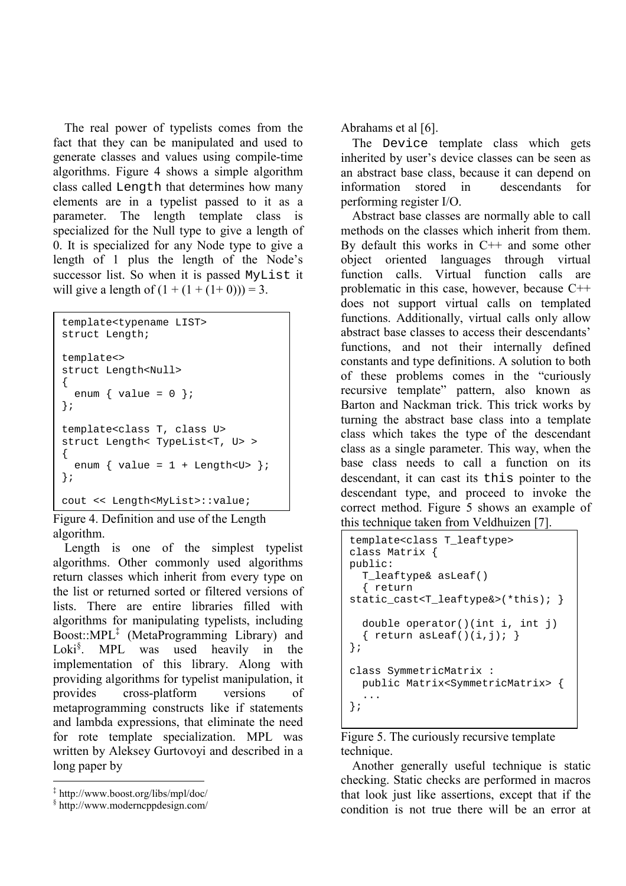The real power of typelists comes from the fact that they can be manipulated and used to generate classes and values using compile-time algorithms. Figure 4 shows a simple algorithm class called Length that determines how many elements are in a typelist passed to it as a parameter. The length template class is specialized for the Null type to give a length of 0. It is specialized for any Node type to give a length of 1 plus the length of the Node's successor list. So when it is passed MyList it will give a length of  $(1 + (1 + (1 + 0))) = 3$ .

```
template<typename LIST>
struct Length;
template<>
struct Length<Null>
  enum { value = 0 };
\};
template<class T, class U>
struct Length< TypeList<T, U> >
  enum { value = 1 + Length<U> };
\};
cout << Length<MyList>::value;
```
Figure 4. Definition and use of the Length algorithm.

Length is one of the simplest typelist algorithms. Other commonly used algorithms return classes which inherit from every type on the list or returned sorted or filtered versions of lists There are entire libraries filled with algorithms for manipulating typelists, including Boost:: $MPL^{\mathcal{I}}$  (MetaProgramming Library) and Loki $\iota$ <sup>§</sup>. MPL was used heavily in the implementation of this library. Along with providing algorithms for typelist manipulation, it provides cross-platform versions of metaprogramming constructs like if statements and lambda expressions, that eliminate the need for rote template specialization. MPL was written by Aleksey Gurtovoyi and described in a long paper by

Abrahams et al  $[6]$ .

The Device template class which gets inherited by user's device classes can be seen as an abstract base class, because it can depend on information stored in descendants for performing register I/O.

Abstract base classes are normally able to call methods on the classes which inherit from them. By default this works in  $C++$  and some other object oriented languages through virtual function calls. Virtual function calls are problematic in this case, however, because  $C++$ does not support virtual calls on templated functions. Additionally, virtual calls only allow abstract base classes to access their descendants' functions, and not their internally defined constants and type definitions. A solution to both of these problems comes in the "curiously recursive template" pattern, also known as Barton and Nackman trick. This trick works by turning the abstract base class into a template class which takes the type of the descendant class as a single parameter. This way, when the base class needs to call a function on its descendant, it can cast its this pointer to the descendant type, and proceed to invoke the correct method. Figure 5 shows an example of this technique taken from Veldhuizen [7].

```
template<class T leaftype>
class Matrix {
public:
  T leaftype& asLeaf()
  { return
static cast<T leaftype&>(*this):}
  double operator()(int i, int j)
  { return asLeaf()(i,j); }
\};
class SymmetricMatrix :
 public Matrix<SymmetricMatrix> {
\};
```
Figure 5. The curiously recursive template technique.

Another generally useful technique is static checking. Static checks are performed in macros that look just like assertions, except that if the condition is not true there will be an error at

 $*$  http://www.boost.org/libs/mpl/doc/

<sup>&</sup>lt;sup>§</sup> http://www.moderncppdesign.com/